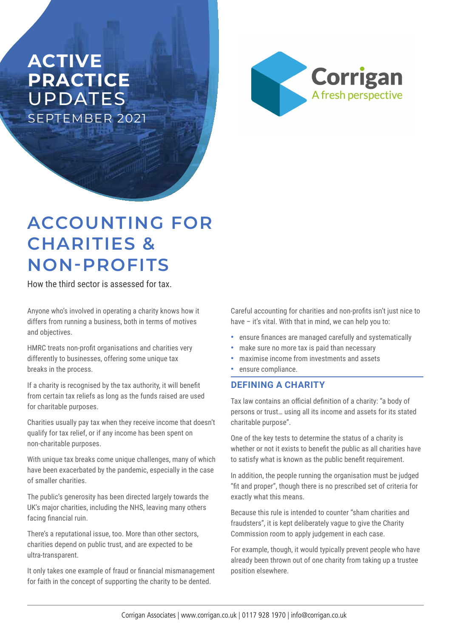# **ACTIVE PRACTICE**  UPDATES SEPTEMBER 2021



# **ACCOUNTING FOR CHARITIES & NON-PROFITS**

How the third sector is assessed for tax.

Anyone who's involved in operating a charity knows how it differs from running a business, both in terms of motives and objectives.

HMRC treats non-profit organisations and charities very differently to businesses, offering some unique tax breaks in the process.

If a charity is recognised by the tax authority, it will benefit from certain tax reliefs as long as the funds raised are used for charitable purposes.

Charities usually pay tax when they receive income that doesn't qualify for tax relief, or if any income has been spent on non-charitable purposes.

With unique tax breaks come unique challenges, many of which have been exacerbated by the pandemic, especially in the case of smaller charities.

The public's generosity has been directed largely towards the UK's major charities, including the NHS, leaving many others facing financial ruin.

There's a reputational issue, too. More than other sectors, charities depend on public trust, and are expected to be ultra-transparent.

It only takes one example of fraud or financial mismanagement for faith in the concept of supporting the charity to be dented.

Careful accounting for charities and non-profits isn't just nice to have – it's vital. With that in mind, we can help you to:

- **•** ensure finances are managed carefully and systematically
- **•** make sure no more tax is paid than necessary
- **•** maximise income from investments and assets
- **•** ensure compliance.

## **DEFINING A CHARITY**

Tax law contains an official definition of a charity: "a body of persons or trust… using all its income and assets for its stated charitable purpose".

One of the key tests to determine the status of a charity is whether or not it exists to benefit the public as all charities have to satisfy what is known as the public benefit requirement.

In addition, the people running the organisation must be judged "fit and proper", though there is no prescribed set of criteria for exactly what this means.

Because this rule is intended to counter "sham charities and fraudsters", it is kept deliberately vague to give the Charity Commission room to apply judgement in each case.

For example, though, it would typically prevent people who have already been thrown out of one charity from taking up a trustee position elsewhere.